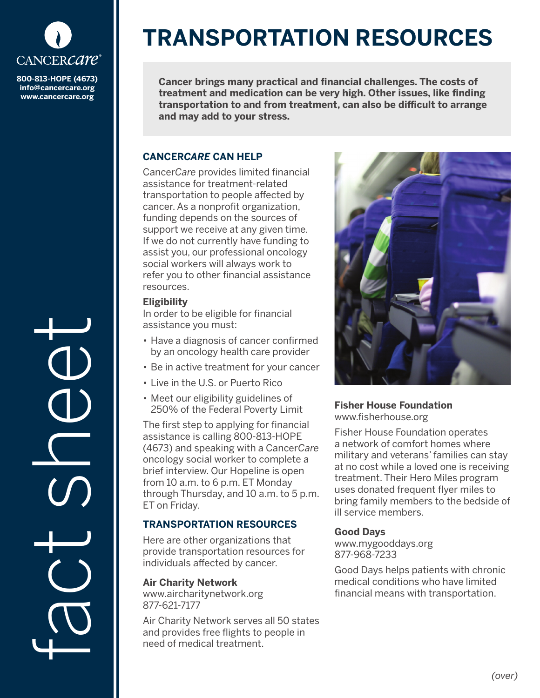

**800-813-HOPE (4673) info@cancercare.org www.cancercare.org**

fact se

# **TRANSPORTATION RESOURCES**

**Cancer brings many practical and financial challenges. The costs of treatment and medication can be very high. Other issues, like finding transportation to and from treatment, can also be difficult to arrange and may add to your stress.** 

### **CANCER***CARE* **CAN HELP**

Cancer*Care* provides limited financial assistance for treatment-related transportation to people affected by cancer. As a nonprofit organization, funding depends on the sources of support we receive at any given time. If we do not currently have funding to assist you, our professional oncology social workers will always work to refer you to other financial assistance resources.

## **Eligibility**

In order to be eligible for financial assistance you must:

- Have a diagnosis of cancer confirmed by an oncology health care provider
- Be in active treatment for your cancer
- Live in the U.S. or Puerto Rico
- Meet our eligibility guidelines of 250% of the Federal Poverty Limit

The first step to applying for financial assistance is calling 800-813-HOPE (4673) and speaking with a Cancer*Care* oncology social worker to complete a brief interview. Our Hopeline is open from 10 a.m. to 6 p.m. ET Monday through Thursday, and 10 a.m. to 5 p.m. ET on Friday.

## **TRANSPORTATION RESOURCES**

Here are other organizations that provide transportation resources for individuals affected by cancer.

#### **Air Charity Network**

www.aircharitynetwork.org 877-621-7177

Air Charity Network serves all 50 states and provides free flights to people in need of medical treatment.



### **Fisher House Foundation** www.fisherhouse.org

Fisher House Foundation operates a network of comfort homes where military and veterans' families can stay at no cost while a loved one is receiving treatment. Their Hero Miles program uses donated frequent flyer miles to bring family members to the bedside of ill service members.

## **Good Days**

www.mygooddays.org 877-968-7233

Good Days helps patients with chronic medical conditions who have limited financial means with transportation.